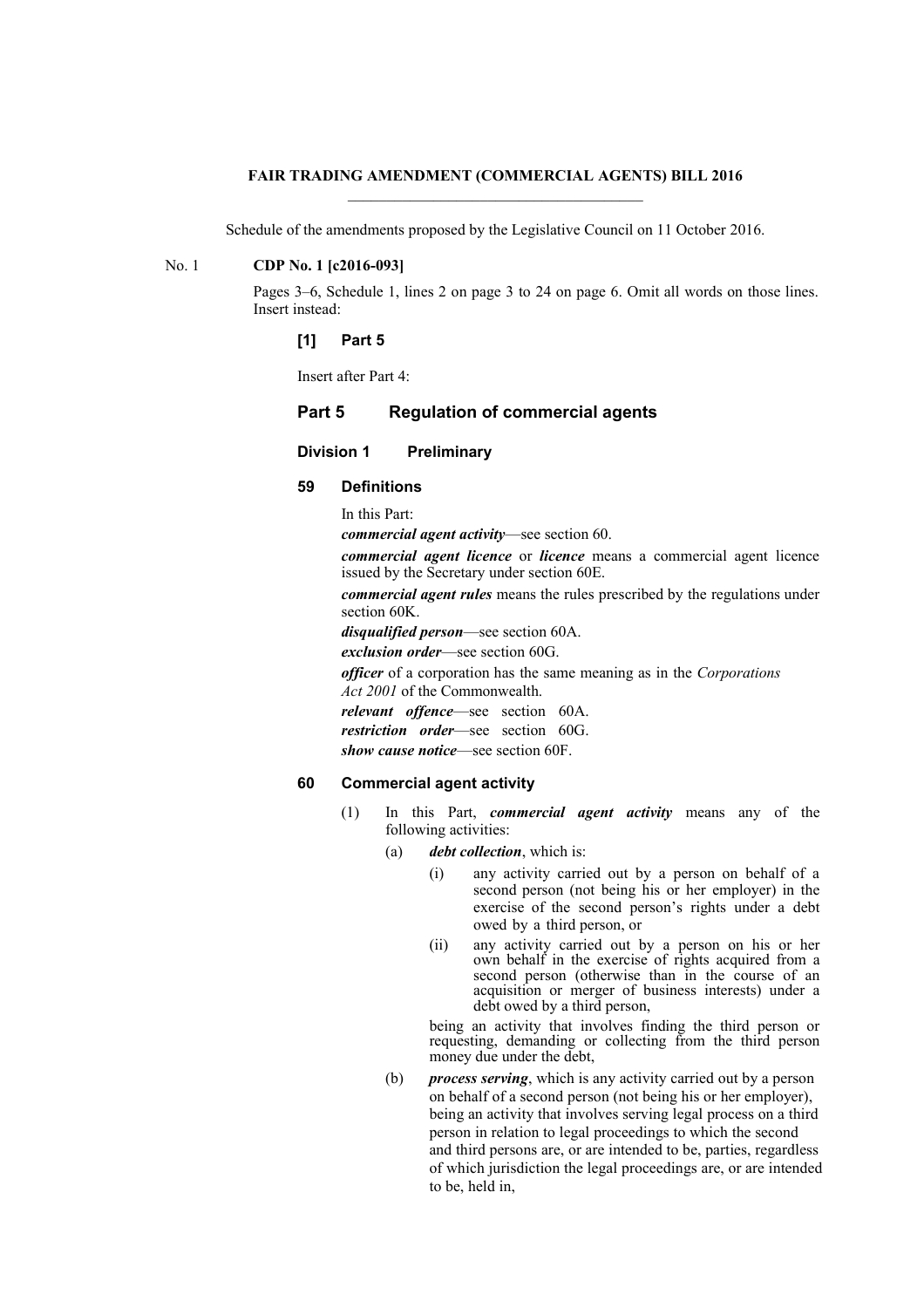## **FAIR TRADING AMENDMENT (COMMERCIAL AGENTS) BILL 2016**

Schedule of the amendments proposed by the Legislative Council on 11 October 2016.

## No. 1 **CDP No. 1 [c2016-093]**

Pages 3–6, Schedule 1, lines 2 on page 3 to 24 on page 6. Omit all words on those lines. Insert instead:

## **[1] Part 5**

Insert after Part 4:

# **Part 5 Regulation of commercial agents**

# **Division 1 Preliminary**

# **59 Definitions**

In this Part:

*commercial agent activity*—see section 60.

*commercial agent licence* or *licence* means a commercial agent licence issued by the Secretary under section 60E.

*commercial agent rules* means the rules prescribed by the regulations under section 60K.

*disqualified person*—see section 60A.

*exclusion order*—see section 60G.

*officer* of a corporation has the same meaning as in the *Corporations*

*Act 2001* of the Commonwealth.

*relevant offence*—see section 60A. *restriction order*—see section 60G.

*show cause notice*—see section 60F.

# **60 Commercial agent activity**

- (1) In this Part, *commercial agent activity* means any of the following activities:
	- (a) *debt collection*, which is:
		- (i) any activity carried out by a person on behalf of a second person (not being his or her employer) in the exercise of the second person's rights under a debt owed by a third person, or
		- (ii) any activity carried out by a person on his or her own behalf in the exercise of rights acquired from a second person (otherwise than in the course of an acquisition or merger of business interests) under a debt owed by a third person,

being an activity that involves finding the third person or requesting, demanding or collecting from the third person money due under the debt,

(b) *process serving*, which is any activity carried out by a person on behalf of a second person (not being his or her employer), being an activity that involves serving legal process on a third person in relation to legal proceedings to which the second and third persons are, or are intended to be, parties, regardless of which jurisdiction the legal proceedings are, or are intended to be, held in,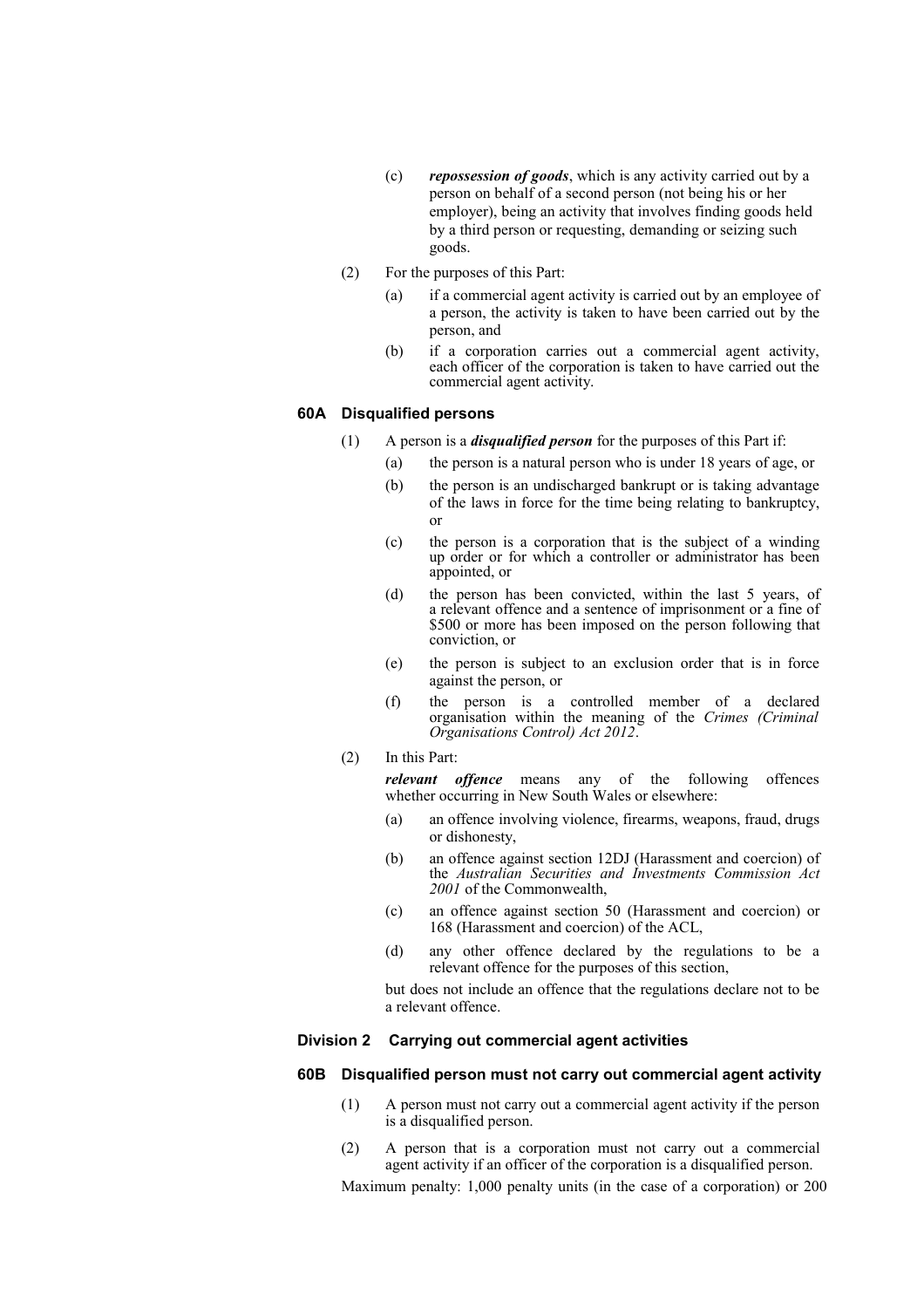- (c) *repossession of goods*, which is any activity carried out by a person on behalf of a second person (not being his or her employer), being an activity that involves finding goods held by a third person or requesting, demanding or seizing such goods.
- (2) For the purposes of this Part:
	- (a) if a commercial agent activity is carried out by an employee of a person, the activity is taken to have been carried out by the person, and
	- (b) if a corporation carries out a commercial agent activity, each officer of the corporation is taken to have carried out the commercial agent activity.

### **60A Disqualified persons**

- (1) A person is a *disqualified person* for the purposes of this Part if:
	- (a) the person is a natural person who is under 18 years of age, or
	- (b) the person is an undischarged bankrupt or is taking advantage of the laws in force for the time being relating to bankruptcy, or
	- (c) the person is a corporation that is the subject of a winding up order or for which a controller or administrator has been appointed, or
	- (d) the person has been convicted, within the last 5 years, of a relevant offence and a sentence of imprisonment or a fine of \$500 or more has been imposed on the person following that conviction, or
	- (e) the person is subject to an exclusion order that is in force against the person, or
	- (f) the person is a controlled member of a declared organisation within the meaning of the *Crimes (Criminal Organisations Control) Act 2012*.
- (2) In this Part:

*relevant offence* means any of the following offences whether occurring in New South Wales or elsewhere:

- (a) an offence involving violence, firearms, weapons, fraud, drugs or dishonesty,
- (b) an offence against section 12DJ (Harassment and coercion) of the *Australian Securities and Investments Commission Act 2001* of the Commonwealth,
- (c) an offence against section 50 (Harassment and coercion) or 168 (Harassment and coercion) of the ACL,
- (d) any other offence declared by the regulations to be a relevant offence for the purposes of this section,

but does not include an offence that the regulations declare not to be a relevant offence.

#### **Division 2 Carrying out commercial agent activities**

## **60B Disqualified person must not carry out commercial agent activity**

- (1) A person must not carry out a commercial agent activity if the person is a disqualified person.
- (2) A person that is a corporation must not carry out a commercial agent activity if an officer of the corporation is a disqualified person.

Maximum penalty: 1,000 penalty units (in the case of a corporation) or 200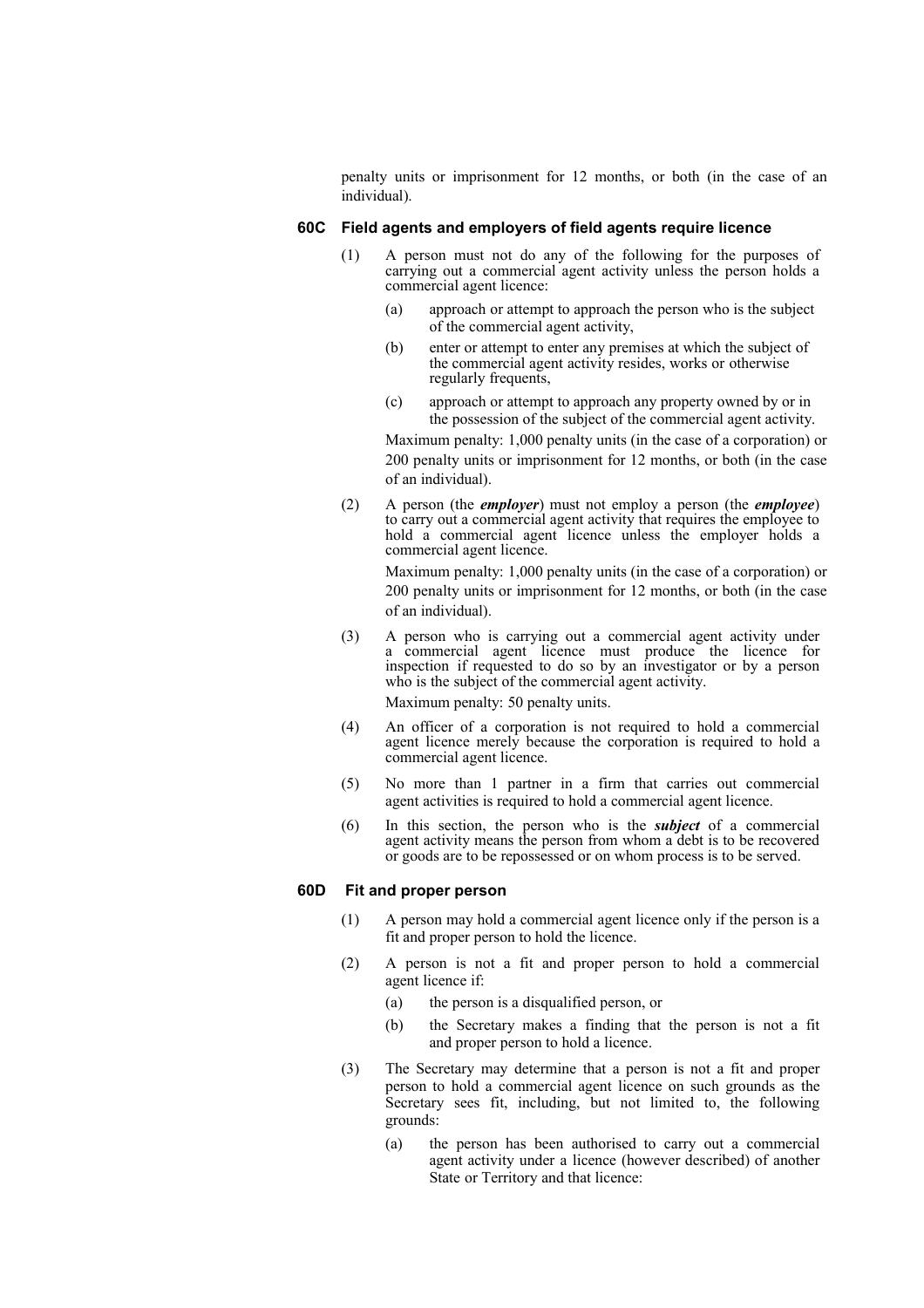penalty units or imprisonment for 12 months, or both (in the case of an individual).

### **60C Field agents and employers of field agents require licence**

- (1) A person must not do any of the following for the purposes of carrying out a commercial agent activity unless the person holds a commercial agent licence:
	- (a) approach or attempt to approach the person who is the subject of the commercial agent activity,
	- (b) enter or attempt to enter any premises at which the subject of the commercial agent activity resides, works or otherwise regularly frequents,
	- (c) approach or attempt to approach any property owned by or in the possession of the subject of the commercial agent activity.

Maximum penalty: 1,000 penalty units (in the case of a corporation) or 200 penalty units or imprisonment for 12 months, or both (in the case of an individual).

(2) A person (the *employer*) must not employ a person (the *employee*) to carry out a commercial agent activity that requires the employee to hold a commercial agent licence unless the employer holds a commercial agent licence.

Maximum penalty: 1,000 penalty units (in the case of a corporation) or 200 penalty units or imprisonment for 12 months, or both (in the case of an individual).

- (3) A person who is carrying out a commercial agent activity under a commercial agent licence must produce the licence for inspection if requested to do so by an investigator or by a person who is the subject of the commercial agent activity. Maximum penalty: 50 penalty units.
- (4) An officer of a corporation is not required to hold a commercial agent licence merely because the corporation is required to hold a commercial agent licence.
- (5) No more than 1 partner in a firm that carries out commercial agent activities is required to hold a commercial agent licence.
- (6) In this section, the person who is the *subject* of a commercial agent activity means the person from whom a debt is to be recovered or goods are to be repossessed or on whom process is to be served.

### **60D Fit and proper person**

- (1) A person may hold a commercial agent licence only if the person is a fit and proper person to hold the licence.
- (2) A person is not a fit and proper person to hold a commercial agent licence if:
	- (a) the person is a disqualified person, or
	- (b) the Secretary makes a finding that the person is not a fit and proper person to hold a licence.
- (3) The Secretary may determine that a person is not a fit and proper person to hold a commercial agent licence on such grounds as the Secretary sees fit, including, but not limited to, the following grounds:
	- (a) the person has been authorised to carry out a commercial agent activity under a licence (however described) of another State or Territory and that licence: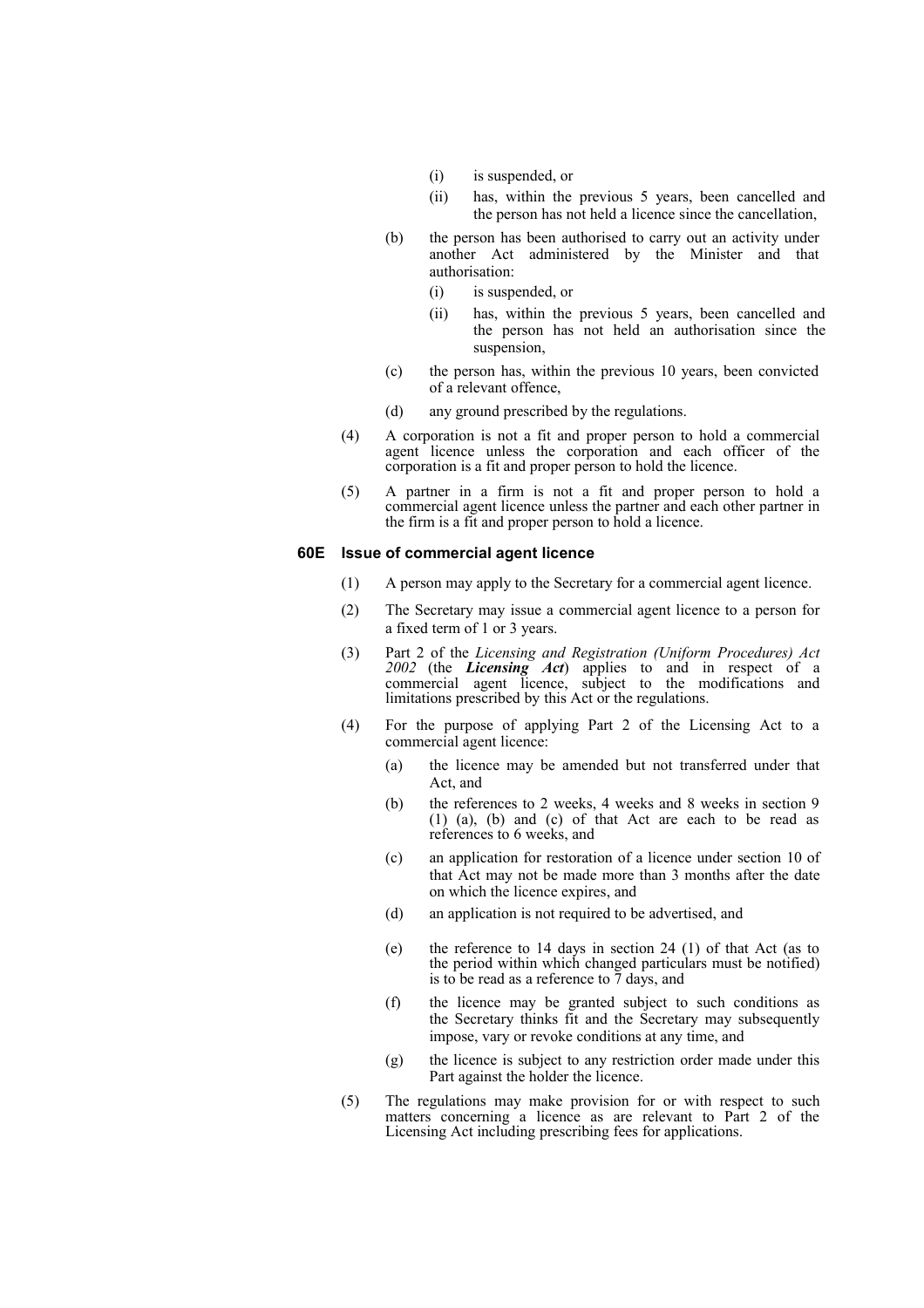- (i) is suspended, or
- (ii) has, within the previous 5 years, been cancelled and the person has not held a licence since the cancellation,
- (b) the person has been authorised to carry out an activity under another Act administered by the Minister and that authorisation:
	- (i) is suspended, or
	- (ii) has, within the previous 5 years, been cancelled and the person has not held an authorisation since the suspension,
- (c) the person has, within the previous 10 years, been convicted of a relevant offence,
- (d) any ground prescribed by the regulations.
- (4) A corporation is not a fit and proper person to hold a commercial agent licence unless the corporation and each officer of the corporation is a fit and proper person to hold the licence.
- (5) A partner in a firm is not a fit and proper person to hold a commercial agent licence unless the partner and each other partner in the firm is a fit and proper person to hold a licence.

### **60E Issue of commercial agent licence**

- (1) A person may apply to the Secretary for a commercial agent licence.
- (2) The Secretary may issue a commercial agent licence to a person for a fixed term of 1 or 3 years.
- (3) Part 2 of the *Licensing and Registration (Uniform Procedures) Act 2002* (the *Licensing Act*) applies to and in respect of a commercial agent licence, subject to the modifications and limitations prescribed by this Act or the regulations.
- (4) For the purpose of applying Part 2 of the Licensing Act to a commercial agent licence:
	- (a) the licence may be amended but not transferred under that Act, and
	- (b) the references to 2 weeks, 4 weeks and 8 weeks in section 9 (1) (a), (b) and (c) of that Act are each to be read as references to 6 weeks, and
	- (c) an application for restoration of a licence under section 10 of that Act may not be made more than 3 months after the date on which the licence expires, and
	- (d) an application is not required to be advertised, and
	- (e) the reference to 14 days in section 24 (1) of that Act (as to the period within which changed particulars must be notified) is to be read as a reference to 7 days, and
	- (f) the licence may be granted subject to such conditions as the Secretary thinks fit and the Secretary may subsequently impose, vary or revoke conditions at any time, and
	- (g) the licence is subject to any restriction order made under this Part against the holder the licence.
- (5) The regulations may make provision for or with respect to such matters concerning a licence as are relevant to Part 2 of the Licensing Act including prescribing fees for applications.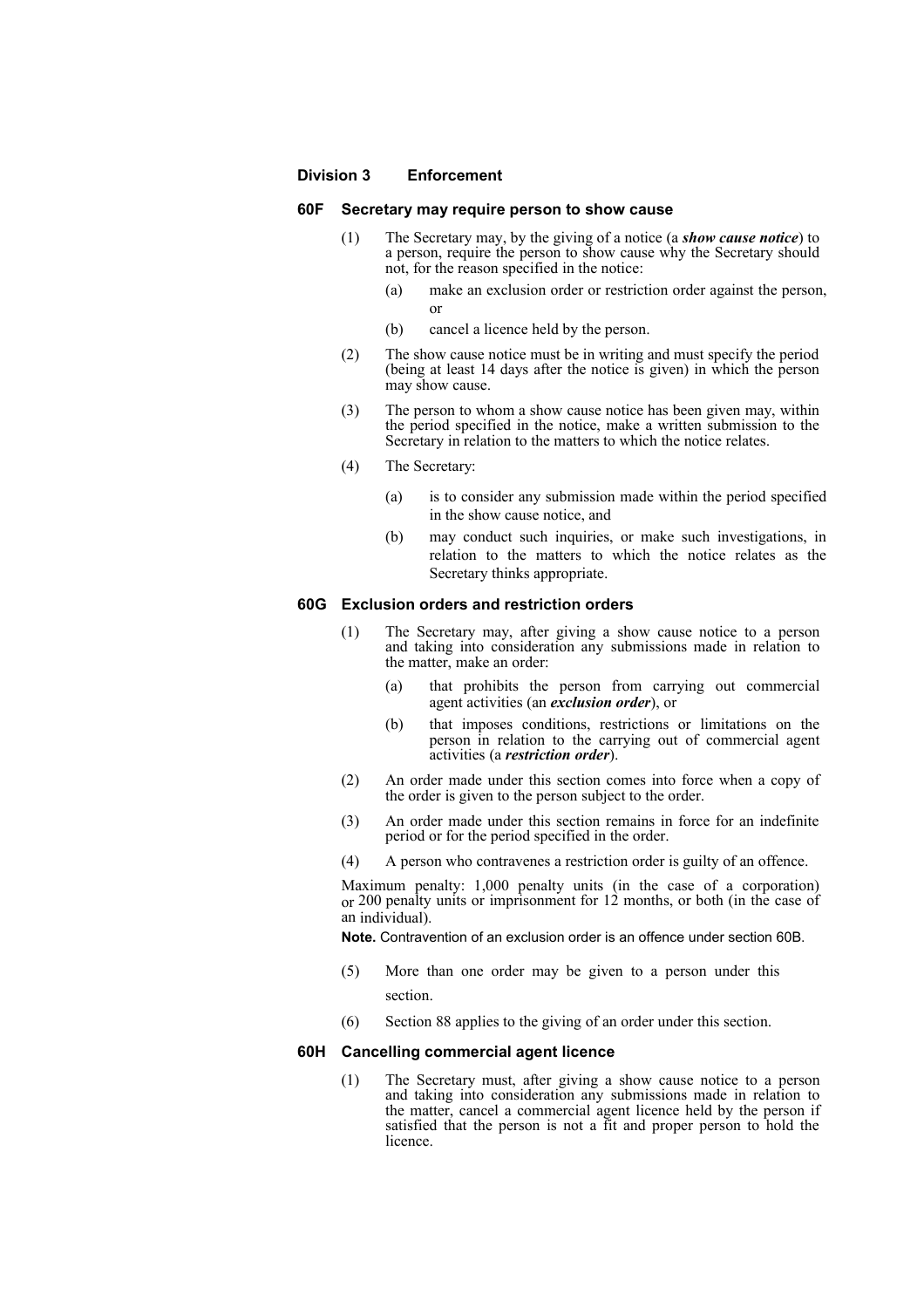#### **Division 3 Enforcement**

#### **60F Secretary may require person to show cause**

- (1) The Secretary may, by the giving of a notice (a *show cause notice*) to a person, require the person to show cause why the Secretary should not, for the reason specified in the notice:
	- (a) make an exclusion order or restriction order against the person, or
	- (b) cancel a licence held by the person.
- (2) The show cause notice must be in writing and must specify the period (being at least 14 days after the notice is given) in which the person may show cause.
- (3) The person to whom a show cause notice has been given may, within the period specified in the notice, make a written submission to the Secretary in relation to the matters to which the notice relates.
- (4) The Secretary:
	- (a) is to consider any submission made within the period specified in the show cause notice, and
	- (b) may conduct such inquiries, or make such investigations, in relation to the matters to which the notice relates as the Secretary thinks appropriate.

## **60G Exclusion orders and restriction orders**

- (1) The Secretary may, after giving a show cause notice to a person and taking into consideration any submissions made in relation to the matter, make an order:
	- (a) that prohibits the person from carrying out commercial agent activities (an *exclusion order*), or
	- (b) that imposes conditions, restrictions or limitations on the person in relation to the carrying out of commercial agent activities (a *restriction order*).
- (2) An order made under this section comes into force when a copy of the order is given to the person subject to the order.
- (3) An order made under this section remains in force for an indefinite period or for the period specified in the order.
- (4) A person who contravenes a restriction order is guilty of an offence.

Maximum penalty: 1,000 penalty units (in the case of a corporation) or 200 penalty units or imprisonment for 12 months, or both (in the case of an individual).

**Note.** Contravention of an exclusion order is an offence under section 60B.

- (5) More than one order may be given to a person under this section.
- (6) Section 88 applies to the giving of an order under this section.

## **60H Cancelling commercial agent licence**

(1) The Secretary must, after giving a show cause notice to a person and taking into consideration any submissions made in relation to the matter, cancel a commercial agent licence held by the person if satisfied that the person is not a fit and proper person to hold the licence.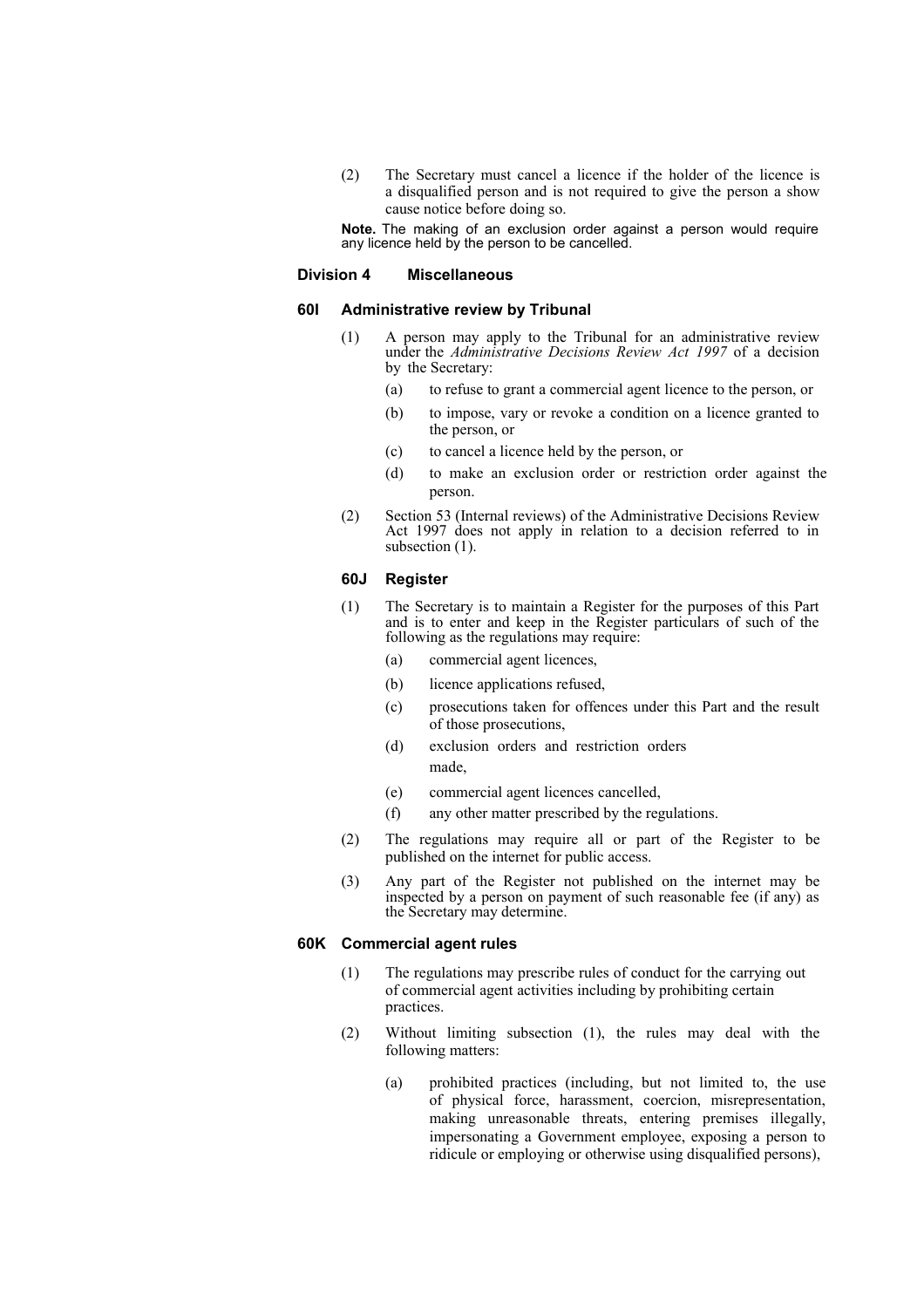(2) The Secretary must cancel a licence if the holder of the licence is a disqualified person and is not required to give the person a show cause notice before doing so.

**Note.** The making of an exclusion order against a person would require any licence held by the person to be cancelled.

#### **Division 4 Miscellaneous**

#### **60I Administrative review by Tribunal**

- (1) A person may apply to the Tribunal for an administrative review under the *Administrative Decisions Review Act 1997* of a decision by the Secretary:
	- (a) to refuse to grant a commercial agent licence to the person, or
	- (b) to impose, vary or revoke a condition on a licence granted to the person, or
	- (c) to cancel a licence held by the person, or
	- (d) to make an exclusion order or restriction order against the person.
- (2) Section 53 (Internal reviews) of the Administrative Decisions Review Act 1997 does not apply in relation to a decision referred to in subsection  $(1)$ .

#### **60J Register**

- (1) The Secretary is to maintain a Register for the purposes of this Part and is to enter and keep in the Register particulars of such of the following as the regulations may require:
	- (a) commercial agent licences,
	- (b) licence applications refused,
	- (c) prosecutions taken for offences under this Part and the result of those prosecutions,
	- (d) exclusion orders and restriction orders made,
	- (e) commercial agent licences cancelled,
	- (f) any other matter prescribed by the regulations.
- (2) The regulations may require all or part of the Register to be published on the internet for public access.
- (3) Any part of the Register not published on the internet may be inspected by a person on payment of such reasonable fee (if any) as the Secretary may determine.

## **60K Commercial agent rules**

- (1) The regulations may prescribe rules of conduct for the carrying out of commercial agent activities including by prohibiting certain practices.
- (2) Without limiting subsection (1), the rules may deal with the following matters:
	- (a) prohibited practices (including, but not limited to, the use of physical force, harassment, coercion, misrepresentation, making unreasonable threats, entering premises illegally, impersonating a Government employee, exposing a person to ridicule or employing or otherwise using disqualified persons),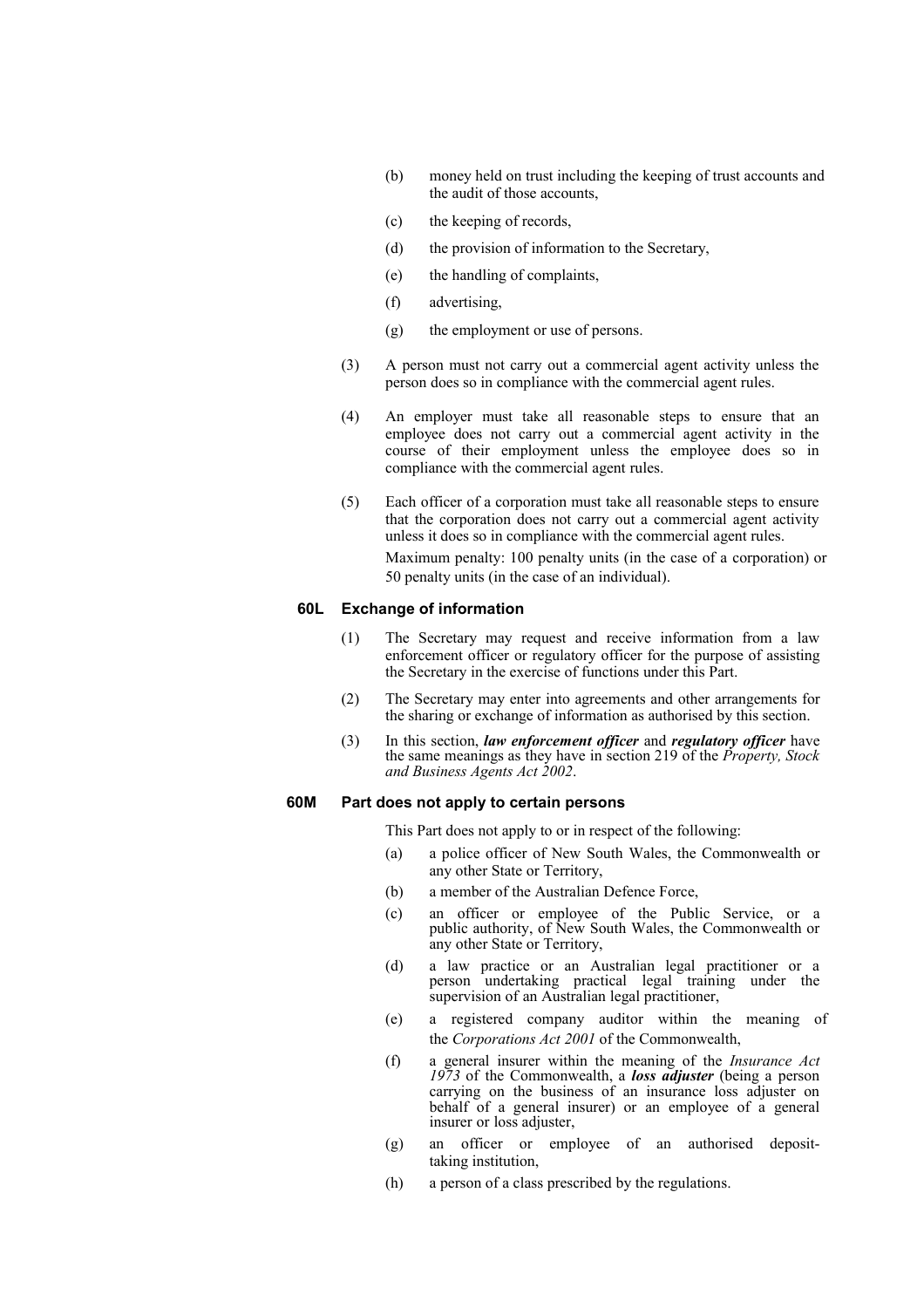- (b) money held on trust including the keeping of trust accounts and the audit of those accounts,
- (c) the keeping of records,
- (d) the provision of information to the Secretary,
- (e) the handling of complaints,
- (f) advertising,
- (g) the employment or use of persons.
- (3) A person must not carry out a commercial agent activity unless the person does so in compliance with the commercial agent rules.
- (4) An employer must take all reasonable steps to ensure that an employee does not carry out a commercial agent activity in the course of their employment unless the employee does so in compliance with the commercial agent rules.
- (5) Each officer of a corporation must take all reasonable steps to ensure that the corporation does not carry out a commercial agent activity unless it does so in compliance with the commercial agent rules. Maximum penalty: 100 penalty units (in the case of a corporation) or 50 penalty units (in the case of an individual).

## **60L Exchange of information**

- (1) The Secretary may request and receive information from a law enforcement officer or regulatory officer for the purpose of assisting the Secretary in the exercise of functions under this Part.
- (2) The Secretary may enter into agreements and other arrangements for the sharing or exchange of information as authorised by this section.
- (3) In this section, *law enforcement officer* and *regulatory officer* have the same meanings as they have in section 219 of the *Property, Stock and Business Agents Act 2002*.

## **60M Part does not apply to certain persons**

This Part does not apply to or in respect of the following:

- (a) a police officer of New South Wales, the Commonwealth or any other State or Territory,
- (b) a member of the Australian Defence Force,
- (c) an officer or employee of the Public Service, or a public authority, of New South Wales, the Commonwealth or any other State or Territory,
- (d) a law practice or an Australian legal practitioner or a person undertaking practical legal training under the supervision of an Australian legal practitioner,
- (e) a registered company auditor within the meaning of the *Corporations Act 2001* of the Commonwealth,
- (f) a general insurer within the meaning of the *Insurance Act 1973* of the Commonwealth, a *loss adjuster* (being a person carrying on the business of an insurance loss adjuster on behalf of a general insurer) or an employee of a general insurer or loss adjuster,
- (g) an officer or employee of an authorised deposittaking institution,
- (h) a person of a class prescribed by the regulations.